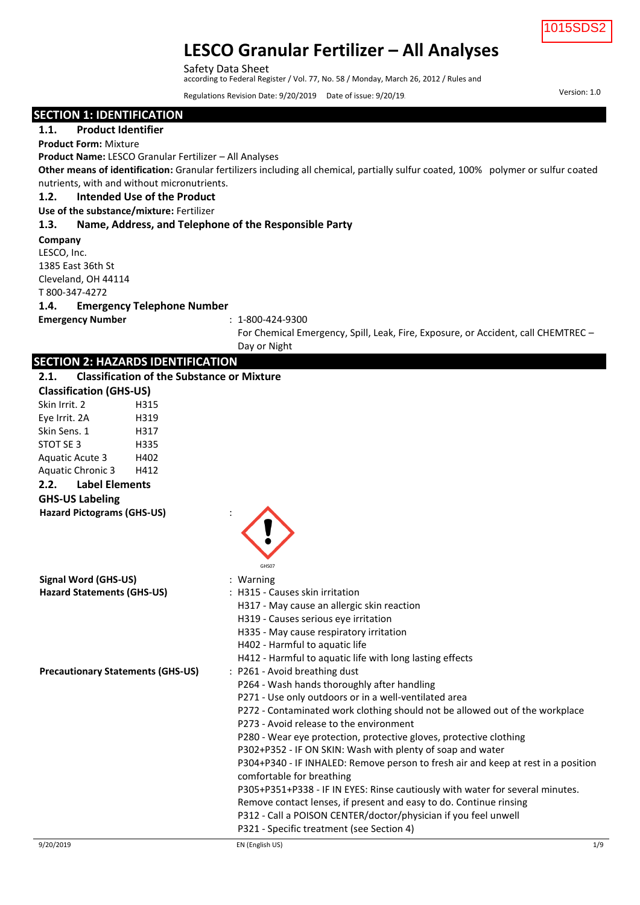

Version: 1.0

# **LESCO Granular Fertilizer – All Analyses**

Safety Data Sheet according to Federal Register / Vol. 77, No. 58 / Monday, March 26, 2012 / Rules and

Regulations Revision Date: 9/20/2019 Date of issue: 9/20/19.

| <b>SECTION 1: IDENTIFICATION</b>                              |                                                                                                                                    |
|---------------------------------------------------------------|------------------------------------------------------------------------------------------------------------------------------------|
| <b>Product Identifier</b><br>1.1.                             |                                                                                                                                    |
| <b>Product Form: Mixture</b>                                  |                                                                                                                                    |
| Product Name: LESCO Granular Fertilizer - All Analyses        |                                                                                                                                    |
|                                                               | Other means of identification: Granular fertilizers including all chemical, partially sulfur coated, 100% polymer or sulfur coated |
| nutrients, with and without micronutrients.                   |                                                                                                                                    |
| Intended Use of the Product<br>1.2.                           |                                                                                                                                    |
| Use of the substance/mixture: Fertilizer                      |                                                                                                                                    |
| Name, Address, and Telephone of the Responsible Party<br>1.3. |                                                                                                                                    |
| Company                                                       |                                                                                                                                    |
| LESCO, Inc.                                                   |                                                                                                                                    |
| 1385 East 36th St                                             |                                                                                                                                    |
| Cleveland, OH 44114                                           |                                                                                                                                    |
| T 800-347-4272                                                |                                                                                                                                    |
| <b>Emergency Telephone Number</b><br>1.4.                     |                                                                                                                                    |
| <b>Emergency Number</b>                                       | $: 1 - 800 - 424 - 9300$                                                                                                           |
|                                                               | For Chemical Emergency, Spill, Leak, Fire, Exposure, or Accident, call CHEMTREC -                                                  |
|                                                               | Day or Night                                                                                                                       |
| <b>SECTION 2: HAZARDS IDENTIFICATION</b>                      |                                                                                                                                    |
| <b>Classification of the Substance or Mixture</b><br>2.1.     |                                                                                                                                    |
| <b>Classification (GHS-US)</b>                                |                                                                                                                                    |
| Skin Irrit. 2<br>H315                                         |                                                                                                                                    |
| Eye Irrit. 2A<br>H319                                         |                                                                                                                                    |
| Skin Sens. 1<br>H317                                          |                                                                                                                                    |
| H335<br>STOT SE 3                                             |                                                                                                                                    |
| H402<br><b>Aquatic Acute 3</b>                                |                                                                                                                                    |
| <b>Aquatic Chronic 3</b><br>H412                              |                                                                                                                                    |
| 2.2.<br><b>Label Elements</b>                                 |                                                                                                                                    |
| <b>GHS-US Labeling</b>                                        |                                                                                                                                    |
| <b>Hazard Pictograms (GHS-US)</b>                             |                                                                                                                                    |
|                                                               |                                                                                                                                    |
|                                                               |                                                                                                                                    |
|                                                               |                                                                                                                                    |
|                                                               | GHS07                                                                                                                              |
| <b>Signal Word (GHS-US)</b>                                   | : Warning                                                                                                                          |
| <b>Hazard Statements (GHS-US)</b>                             | : H315 - Causes skin irritation                                                                                                    |
|                                                               | H317 - May cause an allergic skin reaction                                                                                         |
|                                                               | H319 - Causes serious eye irritation                                                                                               |
|                                                               | H335 - May cause respiratory irritation                                                                                            |
|                                                               | H402 - Harmful to aquatic life                                                                                                     |
|                                                               | H412 - Harmful to aquatic life with long lasting effects                                                                           |
| <b>Precautionary Statements (GHS-US)</b>                      | : P261 - Avoid breathing dust                                                                                                      |
|                                                               | P264 - Wash hands thoroughly after handling                                                                                        |
|                                                               | P271 - Use only outdoors or in a well-ventilated area                                                                              |
|                                                               | P272 - Contaminated work clothing should not be allowed out of the workplace<br>P273 - Avoid release to the environment            |
|                                                               | P280 - Wear eye protection, protective gloves, protective clothing                                                                 |
|                                                               | P302+P352 - IF ON SKIN: Wash with plenty of soap and water                                                                         |
|                                                               | P304+P340 - IF INHALED: Remove person to fresh air and keep at rest in a position                                                  |
|                                                               | comfortable for breathing                                                                                                          |
|                                                               | P305+P351+P338 - IF IN EYES: Rinse cautiously with water for several minutes.                                                      |
|                                                               | Remove contact lenses, if present and easy to do. Continue rinsing                                                                 |
|                                                               | P312 - Call a POISON CENTER/doctor/physician if you feel unwell                                                                    |
|                                                               | P321 - Specific treatment (see Section 4)                                                                                          |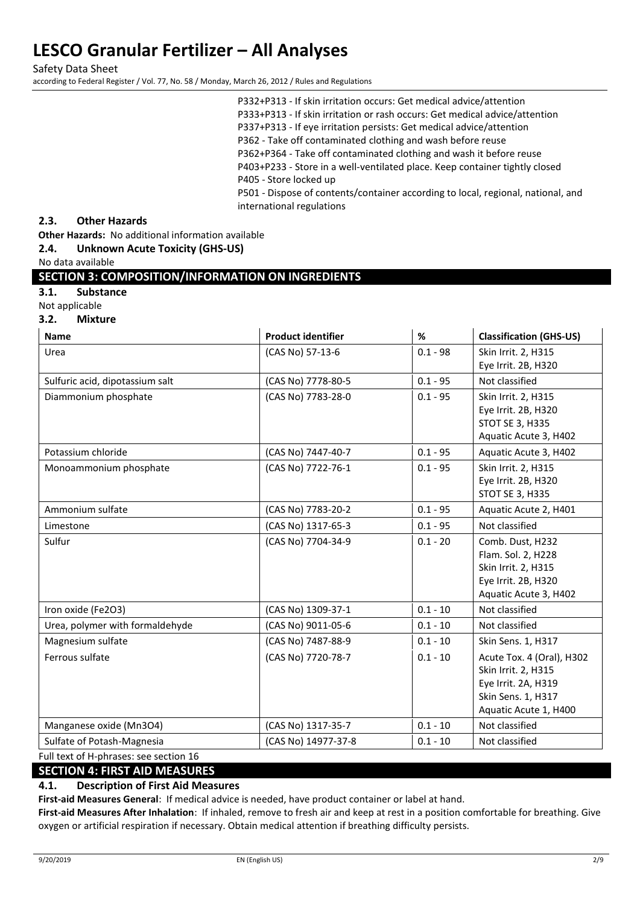Safety Data Sheet according to Federal Register / Vol. 77, No. 58 / Monday, March 26, 2012 / Rules and Regulations

## **2.3. Other Hazards**

**Other Hazards:** No additional information available

## **2.4. Unknown Acute Toxicity (GHS-US)**

No data available

## **SECTION 3: COMPOSITION/INFORMATION ON INGREDIENTS**

**3.1. Substance** 

Not applicable

**3.2. Mixture** 

| <b>Name</b>                            | <b>Product identifier</b> | %          | <b>Classification (GHS-US)</b>                                                                                         |
|----------------------------------------|---------------------------|------------|------------------------------------------------------------------------------------------------------------------------|
| Urea                                   | (CAS No) 57-13-6          | $0.1 - 98$ | Skin Irrit. 2, H315<br>Eye Irrit. 2B, H320                                                                             |
| Sulfuric acid, dipotassium salt        | (CAS No) 7778-80-5        | $0.1 - 95$ | Not classified                                                                                                         |
| Diammonium phosphate                   | (CAS No) 7783-28-0        | $0.1 - 95$ | Skin Irrit. 2, H315<br>Eye Irrit. 2B, H320<br><b>STOT SE 3, H335</b><br>Aquatic Acute 3, H402                          |
| Potassium chloride                     | (CAS No) 7447-40-7        | $0.1 - 95$ | Aquatic Acute 3, H402                                                                                                  |
| Monoammonium phosphate                 | (CAS No) 7722-76-1        | $0.1 - 95$ | Skin Irrit. 2, H315<br>Eye Irrit. 2B, H320<br>STOT SE 3, H335                                                          |
| Ammonium sulfate                       | (CAS No) 7783-20-2        | $0.1 - 95$ | Aquatic Acute 2, H401                                                                                                  |
| Limestone                              | (CAS No) 1317-65-3        | $0.1 - 95$ | Not classified                                                                                                         |
| Sulfur                                 | (CAS No) 7704-34-9        | $0.1 - 20$ | Comb. Dust, H232<br>Flam. Sol. 2, H228<br>Skin Irrit. 2, H315<br>Eye Irrit. 2B, H320<br>Aquatic Acute 3, H402          |
| Iron oxide (Fe2O3)                     | (CAS No) 1309-37-1        | $0.1 - 10$ | Not classified                                                                                                         |
| Urea, polymer with formaldehyde        | (CAS No) 9011-05-6        | $0.1 - 10$ | Not classified                                                                                                         |
| Magnesium sulfate                      | (CAS No) 7487-88-9        | $0.1 - 10$ | Skin Sens. 1, H317                                                                                                     |
| Ferrous sulfate                        | (CAS No) 7720-78-7        | $0.1 - 10$ | Acute Tox. 4 (Oral), H302<br>Skin Irrit. 2, H315<br>Eye Irrit. 2A, H319<br>Skin Sens. 1, H317<br>Aquatic Acute 1, H400 |
| Manganese oxide (Mn3O4)                | (CAS No) 1317-35-7        | $0.1 - 10$ | Not classified                                                                                                         |
| Sulfate of Potash-Magnesia             | (CAS No) 14977-37-8       | $0.1 - 10$ | Not classified                                                                                                         |
| Full text of H-phrases: see section 16 |                           |            |                                                                                                                        |

# **SECTION 4: FIRST AID MEASURES**

## **4.1. Description of First Aid Measures**

**First-aid Measures General**: If medical advice is needed, have product container or label at hand.

**First-aid Measures After Inhalation**: If inhaled, remove to fresh air and keep at rest in a position comfortable for breathing. Give oxygen or artificial respiration if necessary. Obtain medical attention if breathing difficulty persists.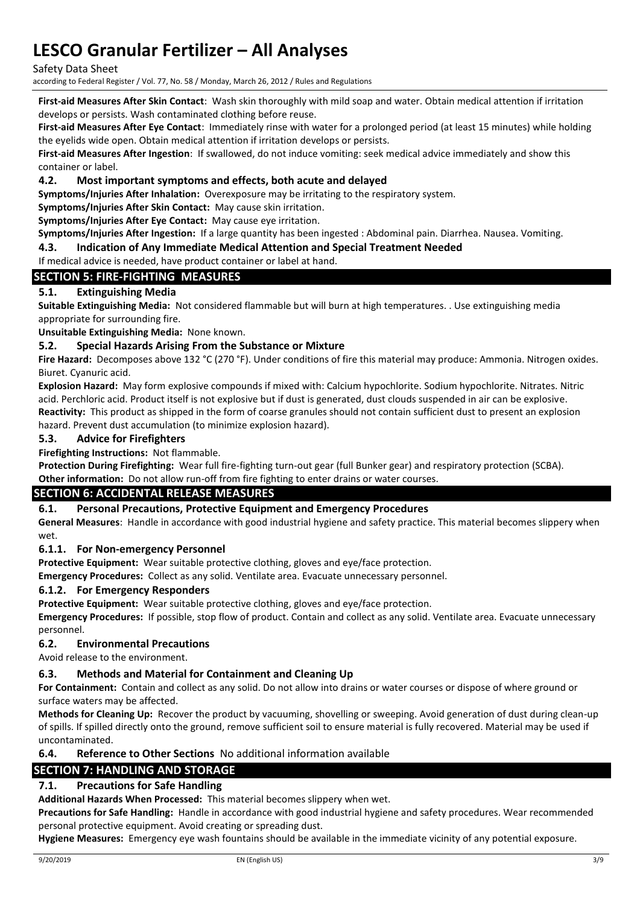Safety Data Sheet

according to Federal Register / Vol. 77, No. 58 / Monday, March 26, 2012 / Rules and Regulations

**First-aid Measures After Skin Contact**: Wash skin thoroughly with mild soap and water. Obtain medical attention if irritation develops or persists. Wash contaminated clothing before reuse.

**First-aid Measures After Eye Contact**: Immediately rinse with water for a prolonged period (at least 15 minutes) while holding the eyelids wide open. Obtain medical attention if irritation develops or persists.

**First-aid Measures After Ingestion**: If swallowed, do not induce vomiting: seek medical advice immediately and show this container or label.

### **4.2. Most important symptoms and effects, both acute and delayed**

**Symptoms/Injuries After Inhalation:** Overexposure may be irritating to the respiratory system.

**Symptoms/Injuries After Skin Contact:** May cause skin irritation.

**Symptoms/Injuries After Eye Contact:** May cause eye irritation.

**Symptoms/Injuries After Ingestion:** If a large quantity has been ingested : Abdominal pain. Diarrhea. Nausea. Vomiting.

**4.3. Indication of Any Immediate Medical Attention and Special Treatment Needed**

### If medical advice is needed, have product container or label at hand.

## **SECTION 5: FIRE-FIGHTING MEASURES**

## **5.1. Extinguishing Media**

**Suitable Extinguishing Media:** Not considered flammable but will burn at high temperatures. . Use extinguishing media appropriate for surrounding fire.

**Unsuitable Extinguishing Media:** None known.

### **5.2. Special Hazards Arising From the Substance or Mixture**

**Fire Hazard:** Decomposes above 132 °C (270 °F). Under conditions of fire this material may produce: Ammonia. Nitrogen oxides. Biuret. Cyanuric acid.

**Explosion Hazard:** May form explosive compounds if mixed with: Calcium hypochlorite. Sodium hypochlorite. Nitrates. Nitric acid. Perchloric acid. Product itself is not explosive but if dust is generated, dust clouds suspended in air can be explosive. **Reactivity:** This product as shipped in the form of coarse granules should not contain sufficient dust to present an explosion hazard. Prevent dust accumulation (to minimize explosion hazard).

### **5.3. Advice for Firefighters**

**Firefighting Instructions:** Not flammable.

**Protection During Firefighting:** Wear full fire-fighting turn-out gear (full Bunker gear) and respiratory protection (SCBA).

**Other information:** Do not allow run-off from fire fighting to enter drains or water courses.

## **SECTION 6: ACCIDENTAL RELEASE MEASURES**

## **6.1. Personal Precautions, Protective Equipment and Emergency Procedures**

**General Measures**: Handle in accordance with good industrial hygiene and safety practice. This material becomes slippery when wet.

## **6.1.1. For Non-emergency Personnel**

**Protective Equipment:** Wear suitable protective clothing, gloves and eye/face protection.

**Emergency Procedures:** Collect as any solid. Ventilate area. Evacuate unnecessary personnel.

#### **6.1.2. For Emergency Responders**

**Protective Equipment:** Wear suitable protective clothing, gloves and eye/face protection.

**Emergency Procedures:** If possible, stop flow of product. Contain and collect as any solid. Ventilate area. Evacuate unnecessary personnel.

#### **6.2. Environmental Precautions**

Avoid release to the environment.

#### **6.3. Methods and Material for Containment and Cleaning Up**

**For Containment:** Contain and collect as any solid. Do not allow into drains or water courses or dispose of where ground or surface waters may be affected.

**Methods for Cleaning Up:** Recover the product by vacuuming, shovelling or sweeping. Avoid generation of dust during clean-up of spills. If spilled directly onto the ground, remove sufficient soil to ensure material is fully recovered. Material may be used if uncontaminated.

**6.4. Reference to Other Sections** No additional information available

# **SECTION 7: HANDLING AND STORAGE**

# **7.1. Precautions for Safe Handling**

**Additional Hazards When Processed:** This material becomes slippery when wet.

**Precautions for Safe Handling:** Handle in accordance with good industrial hygiene and safety procedures. Wear recommended personal protective equipment. Avoid creating or spreading dust.

**Hygiene Measures:** Emergency eye wash fountains should be available in the immediate vicinity of any potential exposure.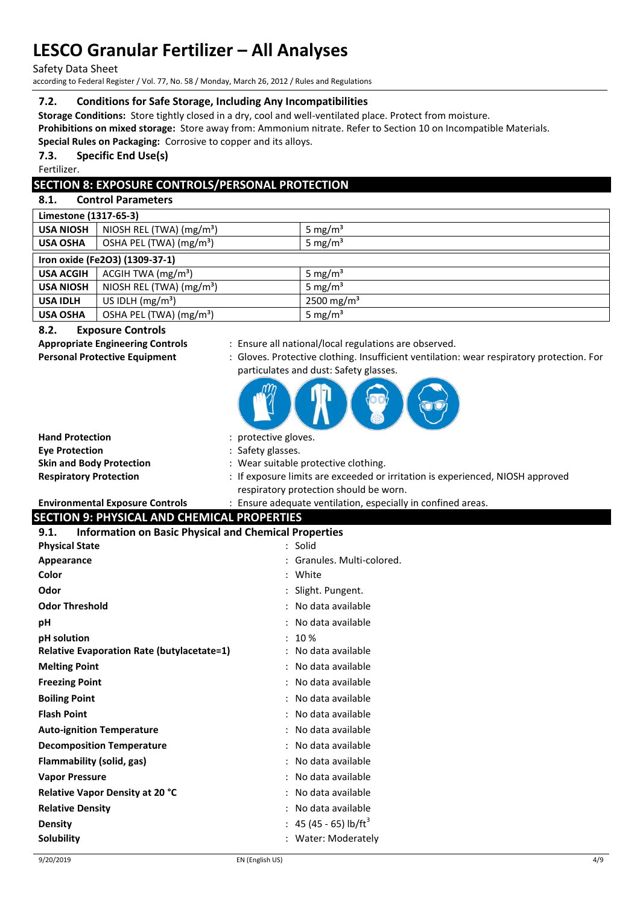Safety Data Sheet

according to Federal Register / Vol. 77, No. 58 / Monday, March 26, 2012 / Rules and Regulations

## **7.2. Conditions for Safe Storage, Including Any Incompatibilities**

**Storage Conditions:** Store tightly closed in a dry, cool and well-ventilated place. Protect from moisture. **Prohibitions on mixed storage:** Store away from: Ammonium nitrate. Refer to Section 10 on Incompatible Materials.

**Special Rules on Packaging:** Corrosive to copper and its alloys.

## **7.3. Specific End Use(s)**

Fertilizer.

# **SECTION 8: EXPOSURE CONTROLS/PERSONAL PROTECTION**

# **8.1. Control Parameters**

| Limestone (1317-65-3) |                                     |                        |
|-----------------------|-------------------------------------|------------------------|
| <b>USA NIOSH</b>      | NIOSH REL (TWA) $(mg/m3)$           | 5 mg/m <sup>3</sup>    |
| <b>USA OSHA</b>       | OSHA PEL (TWA) (mg/m <sup>3</sup> ) | 5 mg/ $m3$             |
|                       | Iron oxide (Fe2O3) (1309-37-1)      |                        |
| <b>USA ACGIH</b>      | ACGIH TWA $(mg/m3)$                 | 5 mg/ $m3$             |
| <b>USA NIOSH</b>      | NIOSH REL (TWA) $(mg/m3)$           | 5 mg/ $m3$             |
| <b>USA IDLH</b>       | US IDLH $(mg/m3)$                   | 2500 mg/m <sup>3</sup> |
| <b>USA OSHA</b>       | OSHA PEL (TWA) (mg/m <sup>3</sup> ) | 5 mg/ $m3$             |

## **8.2. Exposure Controls**

- **Appropriate Engineering Controls** : Ensure all national/local regulations are observed.
- **Personal Protective Equipment** : Gloves. Protective clothing. Insufficient ventilation: wear respiratory protection. For particulates and dust: Safety glasses.



| <b>Hand Protection</b>          | : protective gloves.                                                           |
|---------------------------------|--------------------------------------------------------------------------------|
| <b>Eve Protection</b>           | : Safety glasses.                                                              |
| <b>Skin and Body Protection</b> | : Wear suitable protective clothing.                                           |
| <b>Respiratory Protection</b>   | : If exposure limits are exceeded or irritation is experienced, NIOSH approved |
|                                 | respiratory protection should be worn.                                         |

**Environmental Exposure Controls** : Ensure adequate ventilation, especially in confined areas.

# **SECTION 9: PHYSICAL AND CHEMICAL PROPERTIES**

| <b>Information on Basic Physical and Chemical Properties</b><br>9.1. |                                   |
|----------------------------------------------------------------------|-----------------------------------|
| <b>Physical State</b>                                                | $:$ Solid                         |
| Appearance                                                           | : Granules. Multi-colored.        |
| Color                                                                | : White                           |
| Odor                                                                 | : Slight. Pungent.                |
| <b>Odor Threshold</b>                                                | : No data available               |
| рH                                                                   | : No data available               |
| pH solution                                                          | : 10%                             |
| <b>Relative Evaporation Rate (butylacetate=1)</b>                    | : No data available               |
| <b>Melting Point</b>                                                 | : No data available               |
| <b>Freezing Point</b>                                                | : No data available               |
| <b>Boiling Point</b>                                                 | : No data available               |
| <b>Flash Point</b>                                                   | : No data available               |
| <b>Auto-ignition Temperature</b>                                     | : No data available               |
| <b>Decomposition Temperature</b>                                     | : No data available               |
| Flammability (solid, gas)                                            | : No data available               |
| <b>Vapor Pressure</b>                                                | : No data available               |
| <b>Relative Vapor Density at 20 °C</b>                               | : No data available               |
| <b>Relative Density</b>                                              | : No data available               |
| <b>Density</b>                                                       | : 45 (45 - 65) lb/ft <sup>3</sup> |
| Solubility                                                           | : Water: Moderately               |
|                                                                      |                                   |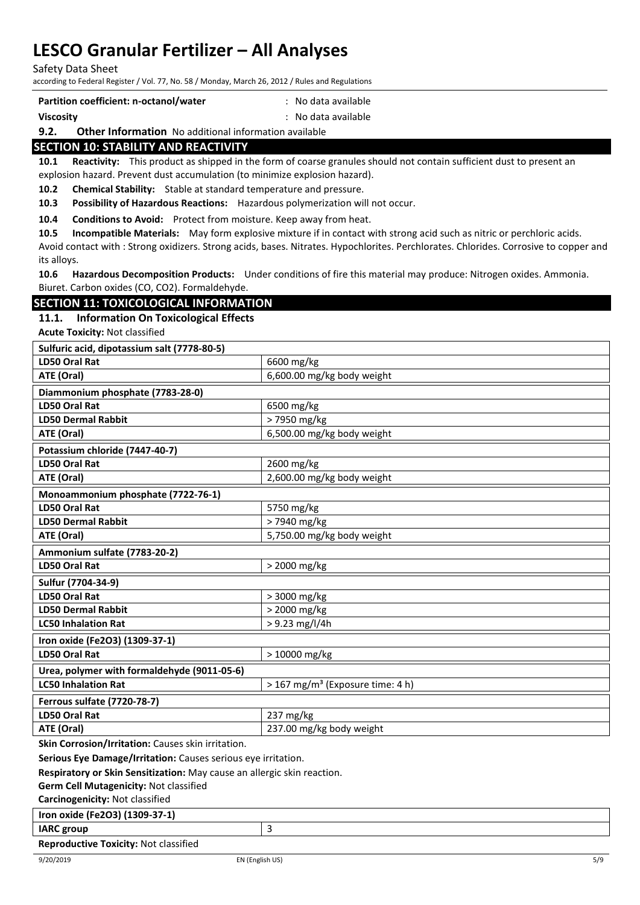Safety Data Sheet

according to Federal Register / Vol. 77, No. 58 / Monday, March 26, 2012 / Rules and Regulations

| Partition coefficient: n-octanol/water | : No data available |
|----------------------------------------|---------------------|
| Viscosity                              | : No data available |

### **9.2. Other Information** No additional information available

## **SECTION 10: STABILITY AND REACTIVITY**

**10.1 Reactivity:** This product as shipped in the form of coarse granules should not contain sufficient dust to present an explosion hazard. Prevent dust accumulation (to minimize explosion hazard).

**10.2 Chemical Stability:** Stable at standard temperature and pressure.

**10.3 Possibility of Hazardous Reactions:** Hazardous polymerization will not occur.

**10.4 Conditions to Avoid:** Protect from moisture. Keep away from heat.

**10.5 Incompatible Materials:** May form explosive mixture if in contact with strong acid such as nitric or perchloric acids.

Avoid contact with : Strong oxidizers. Strong acids, bases. Nitrates. Hypochlorites. Perchlorates. Chlorides. Corrosive to copper and its alloys.

**10.6 Hazardous Decomposition Products:** Under conditions of fire this material may produce: Nitrogen oxides. Ammonia. Biuret. Carbon oxides (CO, CO2). Formaldehyde.

# **SECTION 11: TOXICOLOGICAL INFORMATION**

#### **11.1. Information On Toxicological Effects**

**Acute Toxicity:** Not classified

| Sulfuric acid, dipotassium salt (7778-80-5) |                                              |
|---------------------------------------------|----------------------------------------------|
| <b>LD50 Oral Rat</b>                        | 6600 mg/kg                                   |
| ATE (Oral)                                  | 6,600.00 mg/kg body weight                   |
| Diammonium phosphate (7783-28-0)            |                                              |
| <b>LD50 Oral Rat</b>                        | 6500 mg/kg                                   |
| <b>LD50 Dermal Rabbit</b>                   | > 7950 mg/kg                                 |
| ATE (Oral)                                  | 6,500.00 mg/kg body weight                   |
| Potassium chloride (7447-40-7)              |                                              |
| <b>LD50 Oral Rat</b>                        | 2600 mg/kg                                   |
| ATE (Oral)                                  | 2,600.00 mg/kg body weight                   |
| Monoammonium phosphate (7722-76-1)          |                                              |
| <b>LD50 Oral Rat</b>                        | 5750 mg/kg                                   |
| <b>LD50 Dermal Rabbit</b>                   | > 7940 mg/kg                                 |
| ATE (Oral)                                  | 5,750.00 mg/kg body weight                   |
|                                             |                                              |
| Ammonium sulfate (7783-20-2)                |                                              |
| <b>LD50 Oral Rat</b>                        | > 2000 mg/kg                                 |
| Sulfur (7704-34-9)                          |                                              |
| <b>LD50 Oral Rat</b>                        | > 3000 mg/kg                                 |
| <b>LD50 Dermal Rabbit</b>                   | > 2000 mg/kg                                 |
| <b>LC50 Inhalation Rat</b>                  | > 9.23 mg/l/4h                               |
| Iron oxide (Fe2O3) (1309-37-1)              |                                              |
| <b>LD50 Oral Rat</b>                        | > 10000 mg/kg                                |
| Urea, polymer with formaldehyde (9011-05-6) |                                              |
| <b>LC50 Inhalation Rat</b>                  | > 167 mg/m <sup>3</sup> (Exposure time: 4 h) |
| <b>Ferrous sulfate (7720-78-7)</b>          |                                              |
| <b>LD50 Oral Rat</b>                        | 237 mg/kg                                    |
| ATE (Oral)                                  | 237.00 mg/kg body weight                     |

**Skin Corrosion/Irritation:** Causes skin irritation.

**Serious Eye Damage/Irritation:** Causes serious eye irritation.

**Respiratory or Skin Sensitization:** May cause an allergic skin reaction.

**Germ Cell Mutagenicity:** Not classified

**Carcinogenicity:** Not classified

**Iron oxide (Fe2O3) (1309-37-1)**

**IARC group** 3 **Reproductive Toxicity:** Not classified

9/20/2019 EN (English US) 5/9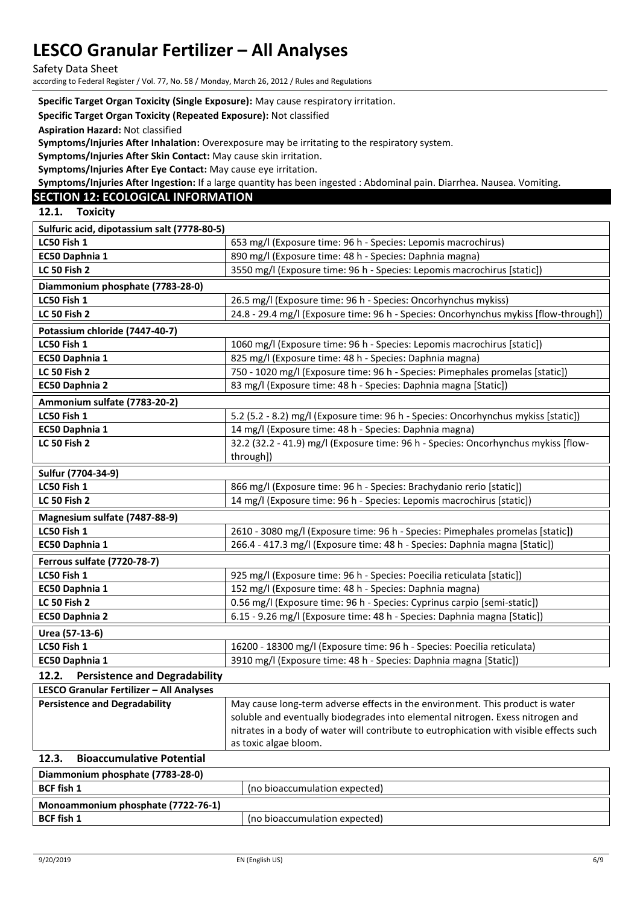Safety Data Sheet

according to Federal Register / Vol. 77, No. 58 / Monday, March 26, 2012 / Rules and Regulations

#### **Specific Target Organ Toxicity (Single Exposure):** May cause respiratory irritation.

#### **Specific Target Organ Toxicity (Repeated Exposure):** Not classified

**Aspiration Hazard:** Not classified

**Symptoms/Injuries After Inhalation:** Overexposure may be irritating to the respiratory system.

**Symptoms/Injuries After Skin Contact:** May cause skin irritation.

**Symptoms/Injuries After Eye Contact:** May cause eye irritation.

**Symptoms/Injuries After Ingestion:** If a large quantity has been ingested : Abdominal pain. Diarrhea. Nausea. Vomiting.

## **SECTION 12: ECOLOGICAL INFORMATION**

**12.1. Toxicity** 

| Sulfuric acid, dipotassium salt (7778-80-5)     |                                                                                      |  |
|-------------------------------------------------|--------------------------------------------------------------------------------------|--|
| LC50 Fish 1                                     | 653 mg/l (Exposure time: 96 h - Species: Lepomis macrochirus)                        |  |
| EC50 Daphnia 1                                  | 890 mg/l (Exposure time: 48 h - Species: Daphnia magna)                              |  |
| <b>LC 50 Fish 2</b>                             | 3550 mg/l (Exposure time: 96 h - Species: Lepomis macrochirus [static])              |  |
| Diammonium phosphate (7783-28-0)                |                                                                                      |  |
| LC50 Fish 1                                     | 26.5 mg/l (Exposure time: 96 h - Species: Oncorhynchus mykiss)                       |  |
| <b>LC 50 Fish 2</b>                             | 24.8 - 29.4 mg/l (Exposure time: 96 h - Species: Oncorhynchus mykiss [flow-through]) |  |
| Potassium chloride (7447-40-7)                  |                                                                                      |  |
| LC50 Fish 1                                     | 1060 mg/l (Exposure time: 96 h - Species: Lepomis macrochirus [static])              |  |
| EC50 Daphnia 1                                  | 825 mg/l (Exposure time: 48 h - Species: Daphnia magna)                              |  |
| <b>LC 50 Fish 2</b>                             | 750 - 1020 mg/l (Exposure time: 96 h - Species: Pimephales promelas [static])        |  |
| EC50 Daphnia 2                                  | 83 mg/l (Exposure time: 48 h - Species: Daphnia magna [Static])                      |  |
| Ammonium sulfate (7783-20-2)                    |                                                                                      |  |
| LC50 Fish 1                                     | 5.2 (5.2 - 8.2) mg/l (Exposure time: 96 h - Species: Oncorhynchus mykiss [static])   |  |
| EC50 Daphnia 1                                  | 14 mg/l (Exposure time: 48 h - Species: Daphnia magna)                               |  |
| <b>LC 50 Fish 2</b>                             | 32.2 (32.2 - 41.9) mg/l (Exposure time: 96 h - Species: Oncorhynchus mykiss [flow-   |  |
|                                                 | through])                                                                            |  |
|                                                 |                                                                                      |  |
| Sulfur (7704-34-9)                              |                                                                                      |  |
| LC50 Fish 1                                     | 866 mg/l (Exposure time: 96 h - Species: Brachydanio rerio [static])                 |  |
| <b>LC 50 Fish 2</b>                             | 14 mg/l (Exposure time: 96 h - Species: Lepomis macrochirus [static])                |  |
| Magnesium sulfate (7487-88-9)                   |                                                                                      |  |
| LC50 Fish 1                                     | 2610 - 3080 mg/l (Exposure time: 96 h - Species: Pimephales promelas [static])       |  |
| EC50 Daphnia 1                                  | 266.4 - 417.3 mg/l (Exposure time: 48 h - Species: Daphnia magna [Static])           |  |
| <b>Ferrous sulfate (7720-78-7)</b>              |                                                                                      |  |
| LC50 Fish 1                                     | 925 mg/l (Exposure time: 96 h - Species: Poecilia reticulata [static])               |  |
| EC50 Daphnia 1                                  | 152 mg/l (Exposure time: 48 h - Species: Daphnia magna)                              |  |
| <b>LC 50 Fish 2</b>                             | 0.56 mg/l (Exposure time: 96 h - Species: Cyprinus carpio [semi-static])             |  |
| EC50 Daphnia 2                                  | 6.15 - 9.26 mg/l (Exposure time: 48 h - Species: Daphnia magna [Static])             |  |
| Urea (57-13-6)                                  |                                                                                      |  |
| LC50 Fish 1                                     | 16200 - 18300 mg/l (Exposure time: 96 h - Species: Poecilia reticulata)              |  |
| EC50 Daphnia 1                                  | 3910 mg/l (Exposure time: 48 h - Species: Daphnia magna [Static])                    |  |
| 12.2.<br><b>Persistence and Degradability</b>   |                                                                                      |  |
| <b>LESCO Granular Fertilizer - All Analyses</b> |                                                                                      |  |

| 122 | Dissessionistics Detectiel |                                                                                         |
|-----|----------------------------|-----------------------------------------------------------------------------------------|
|     |                            | as toxic algae bloom.                                                                   |
|     |                            | nitrates in a body of water will contribute to eutrophication with visible effects such |
|     |                            | soluble and eventually biodegrades into elemental nitrogen. Exess nitrogen and          |
|     |                            |                                                                                         |

| 14.S.<br>- Dioaccumulative Potential |                               |
|--------------------------------------|-------------------------------|
| Diammonium phosphate (7783-28-0)     |                               |
| <b>BCF fish 1</b>                    | (no bioaccumulation expected) |
| Monoammonium phosphate (7722-76-1)   |                               |
| <b>BCF</b> fish 1                    | (no bioaccumulation expected) |
|                                      |                               |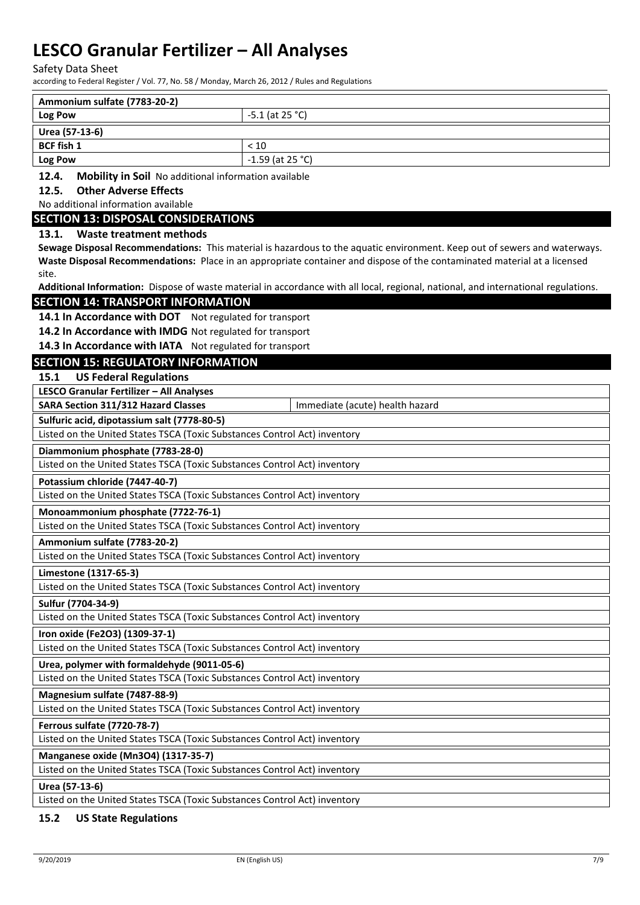Safety Data Sheet

according to Federal Register / Vol. 77, No. 58 / Monday, March 26, 2012 / Rules and Regulations

| Ammonium sulfate (7783-20-2) |                    |
|------------------------------|--------------------|
| Log Pow                      | $-5.1$ (at 25 °C)  |
| Urea (57-13-6)               |                    |
| <b>BCF fish 1</b>            | < 10               |
| Log Pow                      | $-1.59$ (at 25 °C) |
|                              |                    |

**12.4. Mobility in Soil** No additional information available

### **12.5. Other Adverse Effects**

#### No additional information available

### **SECTION 13: DISPOSAL CONSIDERATIONS**

### **13.1. Waste treatment methods**

**Sewage Disposal Recommendations:** This material is hazardous to the aquatic environment. Keep out of sewers and waterways. **Waste Disposal Recommendations:** Place in an appropriate container and dispose of the contaminated material at a licensed site.

**Additional Information:** Dispose of waste material in accordance with all local, regional, national, and international regulations.

### **SECTION 14: TRANSPORT INFORMATION**

14.1 In Accordance with DOT Not regulated for transport

**14.2 In Accordance with IMDG** Not regulated for transport

**14.3 In Accordance with IATA** Not regulated for transport

# **SECTION 15: REGULATORY INFORMATION**

**15.1 US Federal Regulations**

**LESCO Granular Fertilizer – All Analyses**

| SARA Section 311/312 Hazard Classes                                       | Immediate (acute) health hazard |  |  |
|---------------------------------------------------------------------------|---------------------------------|--|--|
| Sulfuric acid, dipotassium salt (7778-80-5)                               |                                 |  |  |
| Listed on the United States TSCA (Toxic Substances Control Act) inventory |                                 |  |  |
| Diammonium phosphate (7783-28-0)                                          |                                 |  |  |
| Listed on the United States TSCA (Toxic Substances Control Act) inventory |                                 |  |  |
| Potassium chloride (7447-40-7)                                            |                                 |  |  |
| Listed on the United States TSCA (Toxic Substances Control Act) inventory |                                 |  |  |
| Monoammonium phosphate (7722-76-1)                                        |                                 |  |  |
| Listed on the United States TSCA (Toxic Substances Control Act) inventory |                                 |  |  |
| Ammonium sulfate (7783-20-2)                                              |                                 |  |  |
| Listed on the United States TSCA (Toxic Substances Control Act) inventory |                                 |  |  |
| Limestone (1317-65-3)                                                     |                                 |  |  |
| Listed on the United States TSCA (Toxic Substances Control Act) inventory |                                 |  |  |
| Sulfur (7704-34-9)                                                        |                                 |  |  |
| Listed on the United States TSCA (Toxic Substances Control Act) inventory |                                 |  |  |
| Iron oxide (Fe2O3) (1309-37-1)                                            |                                 |  |  |
| Listed on the United States TSCA (Toxic Substances Control Act) inventory |                                 |  |  |
| Urea, polymer with formaldehyde (9011-05-6)                               |                                 |  |  |
| Listed on the United States TSCA (Toxic Substances Control Act) inventory |                                 |  |  |
| Magnesium sulfate (7487-88-9)                                             |                                 |  |  |
| Listed on the United States TSCA (Toxic Substances Control Act) inventory |                                 |  |  |
| <b>Ferrous sulfate (7720-78-7)</b>                                        |                                 |  |  |
| Listed on the United States TSCA (Toxic Substances Control Act) inventory |                                 |  |  |
| Manganese oxide (Mn3O4) (1317-35-7)                                       |                                 |  |  |
| Listed on the United States TSCA (Toxic Substances Control Act) inventory |                                 |  |  |
| Urea (57-13-6)                                                            |                                 |  |  |
| Listed on the United States TSCA (Toxic Substances Control Act) inventory |                                 |  |  |

## **15.2 US State Regulations**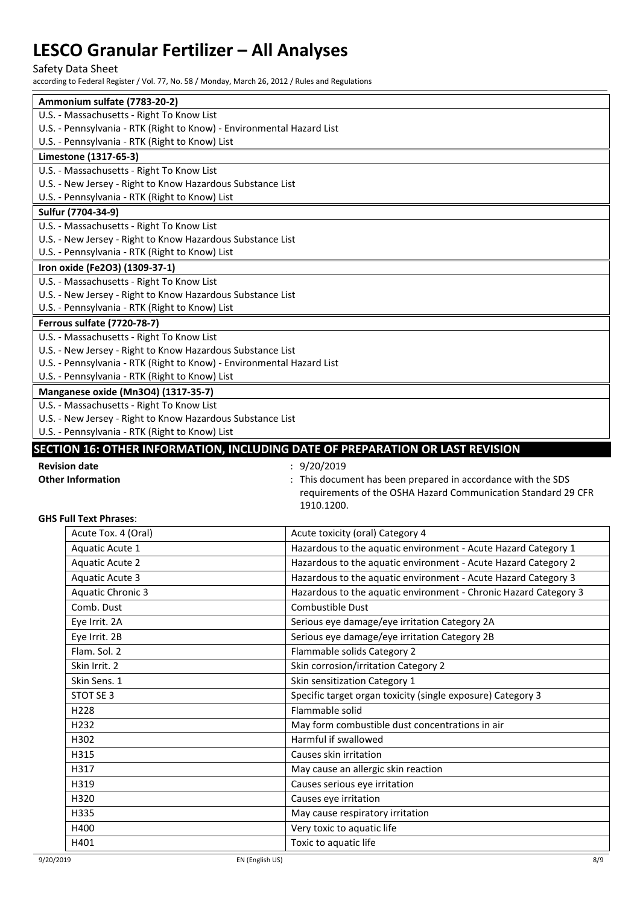Safety Data Sheet

according to Federal Register / Vol. 77, No. 58 / Monday, March 26, 2012 / Rules and Regulations

| Ammonium sulfate (7783-20-2) |                                                                                                              |                                                                               |  |  |  |
|------------------------------|--------------------------------------------------------------------------------------------------------------|-------------------------------------------------------------------------------|--|--|--|
|                              | U.S. - Massachusetts - Right To Know List                                                                    |                                                                               |  |  |  |
|                              | U.S. - Pennsylvania - RTK (Right to Know) - Environmental Hazard List                                        |                                                                               |  |  |  |
|                              | U.S. - Pennsylvania - RTK (Right to Know) List                                                               |                                                                               |  |  |  |
|                              | Limestone (1317-65-3)                                                                                        |                                                                               |  |  |  |
|                              | U.S. - Massachusetts - Right To Know List                                                                    |                                                                               |  |  |  |
|                              | U.S. - New Jersey - Right to Know Hazardous Substance List                                                   |                                                                               |  |  |  |
|                              | U.S. - Pennsylvania - RTK (Right to Know) List                                                               |                                                                               |  |  |  |
|                              | Sulfur (7704-34-9)                                                                                           |                                                                               |  |  |  |
|                              | U.S. - Massachusetts - Right To Know List                                                                    |                                                                               |  |  |  |
|                              | U.S. - New Jersey - Right to Know Hazardous Substance List<br>U.S. - Pennsylvania - RTK (Right to Know) List |                                                                               |  |  |  |
|                              | Iron oxide (Fe2O3) (1309-37-1)                                                                               |                                                                               |  |  |  |
|                              | U.S. - Massachusetts - Right To Know List                                                                    |                                                                               |  |  |  |
|                              | U.S. - New Jersey - Right to Know Hazardous Substance List                                                   |                                                                               |  |  |  |
|                              | U.S. - Pennsylvania - RTK (Right to Know) List                                                               |                                                                               |  |  |  |
|                              | <b>Ferrous sulfate (7720-78-7)</b>                                                                           |                                                                               |  |  |  |
|                              | U.S. - Massachusetts - Right To Know List                                                                    |                                                                               |  |  |  |
|                              | U.S. - New Jersey - Right to Know Hazardous Substance List                                                   |                                                                               |  |  |  |
|                              | U.S. - Pennsylvania - RTK (Right to Know) - Environmental Hazard List                                        |                                                                               |  |  |  |
|                              | U.S. - Pennsylvania - RTK (Right to Know) List                                                               |                                                                               |  |  |  |
|                              | Manganese oxide (Mn3O4) (1317-35-7)                                                                          |                                                                               |  |  |  |
|                              | U.S. - Massachusetts - Right To Know List                                                                    |                                                                               |  |  |  |
|                              | U.S. - New Jersey - Right to Know Hazardous Substance List                                                   |                                                                               |  |  |  |
|                              | U.S. - Pennsylvania - RTK (Right to Know) List                                                               |                                                                               |  |  |  |
|                              |                                                                                                              | SECTION 16: OTHER INFORMATION, INCLUDING DATE OF PREPARATION OR LAST REVISION |  |  |  |
|                              |                                                                                                              |                                                                               |  |  |  |
|                              | <b>Revision date</b>                                                                                         | 9/20/2019                                                                     |  |  |  |
|                              | <b>Other Information</b>                                                                                     | : This document has been prepared in accordance with the SDS                  |  |  |  |
|                              |                                                                                                              | requirements of the OSHA Hazard Communication Standard 29 CFR                 |  |  |  |
|                              |                                                                                                              | 1910.1200.                                                                    |  |  |  |
|                              | <b>GHS Full Text Phrases:</b>                                                                                |                                                                               |  |  |  |
|                              | Acute Tox. 4 (Oral)                                                                                          | Acute toxicity (oral) Category 4                                              |  |  |  |
|                              | Aquatic Acute 1                                                                                              | Hazardous to the aquatic environment - Acute Hazard Category 1                |  |  |  |
|                              | <b>Aquatic Acute 2</b>                                                                                       | Hazardous to the aquatic environment - Acute Hazard Category 2                |  |  |  |
|                              | <b>Aquatic Acute 3</b>                                                                                       | Hazardous to the aquatic environment - Acute Hazard Category 3                |  |  |  |
|                              | <b>Aquatic Chronic 3</b>                                                                                     | Hazardous to the aquatic environment - Chronic Hazard Category 3              |  |  |  |
|                              | Comb. Dust                                                                                                   | Combustible Dust                                                              |  |  |  |
|                              | Eye Irrit. 2A                                                                                                | Serious eye damage/eye irritation Category 2A                                 |  |  |  |
|                              | Eye Irrit. 2B                                                                                                | Serious eye damage/eye irritation Category 2B                                 |  |  |  |
|                              | Flam. Sol. 2                                                                                                 | Flammable solids Category 2                                                   |  |  |  |
|                              | Skin Irrit. 2                                                                                                | Skin corrosion/irritation Category 2                                          |  |  |  |
|                              | Skin Sens. 1                                                                                                 | Skin sensitization Category 1                                                 |  |  |  |
|                              | STOT SE 3                                                                                                    | Specific target organ toxicity (single exposure) Category 3                   |  |  |  |
|                              | H228                                                                                                         | Flammable solid                                                               |  |  |  |
|                              | H232                                                                                                         | May form combustible dust concentrations in air                               |  |  |  |
|                              | H302                                                                                                         | Harmful if swallowed                                                          |  |  |  |
|                              | H315                                                                                                         | Causes skin irritation                                                        |  |  |  |
|                              | H317                                                                                                         | May cause an allergic skin reaction                                           |  |  |  |
|                              | H319                                                                                                         | Causes serious eye irritation                                                 |  |  |  |
|                              | H320                                                                                                         | Causes eye irritation                                                         |  |  |  |
|                              | H335                                                                                                         | May cause respiratory irritation                                              |  |  |  |

H401 Toxic to aquatic life